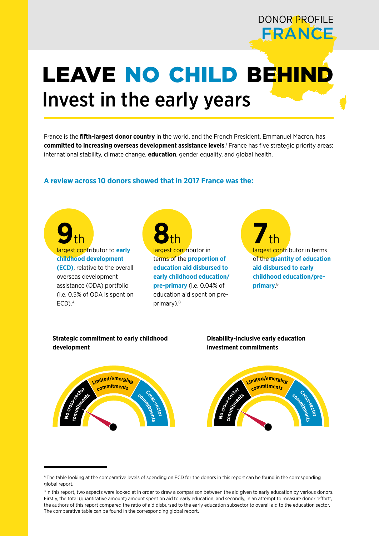# LEAVE NO CHILD BEHIND Invest in the early years

France is the **fifth-largest donor country** in the world, and the French President, Emmanuel Macron, has **committed to increasing overseas development assistance levels**. 1 France has five strategic priority areas: international stability, climate change, **education**, gender equality, and global health.

# **A review across 10 donors showed that in 2017 France was the:**



**Strategic commitment to early childhood development**



**Disability-inclusive early education investment commitments**



DONOR PROFILE

**FRANCE** 

A The table looking at the comparative levels of spending on ECD for the donors in this report can be found in the corresponding global report.

BIn this report, two aspects were looked at in order to draw a comparison between the aid given to early education by various donors. Firstly, the total (quantitative amount) amount spent on aid to early education, and secondly, in an attempt to measure donor 'effort', the authors of this report compared the ratio of aid disbursed to the early education subsector to overall aid to the education sector. The comparative table can be found in the corresponding global report.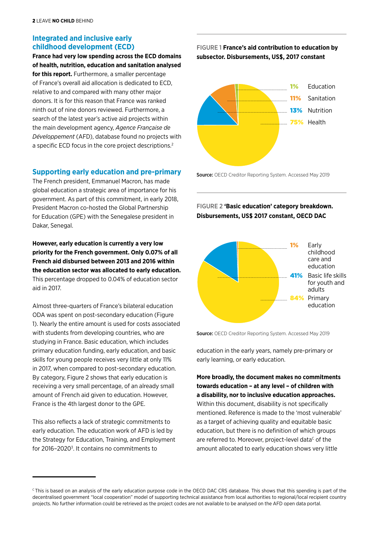# **Integrated and inclusive early childhood development (ECD)**

**France had very low spending across the ECD domains of health, nutrition, education and sanitation analysed for this report.** Furthermore, a smaller percentage of France's overall aid allocation is dedicated to ECD, relative to and compared with many other major donors. It is for this reason that France was ranked ninth out of nine donors reviewed. Furthermore, a search of the latest year's active aid projects within the main development agency, *Agence Française de Développement* (AFD), database found no projects with a specific ECD focus in the core project descriptions.2

#### **Supporting early education and pre-primary**

The French president, Emmanuel Macron, has made global education a strategic area of importance for his government. As part of this commitment, in early 2018, President Macron co-hosted the Global Partnership for Education (GPE) with the Senegalese president in Dakar, Senegal.

**However, early education is currently a very low priority for the French government. Only 0.07% of all French aid disbursed between 2013 and 2016 within the education sector was allocated to early education.** This percentage dropped to 0.04% of education sector aid in 2017.

Almost three-quarters of France's bilateral education ODA was spent on post-secondary education (Figure 1). Nearly the entire amount is used for costs associated with students from developing countries, who are studying in France. Basic education, which includes primary education funding, early education, and basic skills for young people receives very little at only 11% in 2017, when compared to post-secondary education. By category, Figure 2 shows that early education is receiving a very small percentage, of an already small amount of French aid given to education. However, France is the 4th largest donor to the GPE.

This also reflects a lack of strategic commitments to early education. The education work of AFD is led by the Strategy for Education, Training, and Employment for 2016-2020<sup>3</sup>. It contains no commitments to

# FIGURE 1 **France's aid contribution to education by subsector. Disbursements, US\$, 2017 constant**



Source: OECD Creditor Reporting System. Accessed May 2019

FIGURE 2 **'Basic education' category breakdown. Disbursements, US\$ 2017 constant, OECD DAC**



Source: OECD Creditor Reporting System. Accessed May 2019

education in the early years, namely pre-primary or early learning, or early education.

**More broadly, the document makes no commitments towards education – at any level – of children with a disability, nor to inclusive education approaches.** Within this document, disability is not specifically mentioned. Reference is made to the 'most vulnerable' as a target of achieving quality and equitable basic education, but there is no definition of which groups are referred to. Moreover, project-level data $c$  of the amount allocated to early education shows very little

<sup>&</sup>lt;sup>c</sup> This is based on an analysis of the early education purpose code in the OECD DAC CRS database. This shows that this spending is part of the decentralised government "local cooperation" model of supporting technical assistance from local authorities to regional/local recipient country projects. No further information could be retrieved as the project codes are not available to be analysed on the AFD open data portal.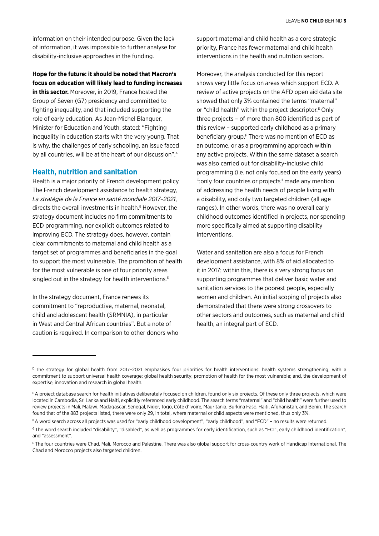information on their intended purpose. Given the lack of information, it was impossible to further analyse for disability-inclusive approaches in the funding.

**Hope for the future: it should be noted that Macron's focus on education will likely lead to funding increases in this sector.** Moreover, in 2019, France hosted the

Group of Seven (G7) presidency and committed to fighting inequality, and that included supporting the role of early education. As Jean-Michel Blanquer, Minister for Education and Youth, stated: "Fighting inequality in education starts with the very young. That is why, the challenges of early schooling, an issue faced by all countries, will be at the heart of our discussion".4

#### **Health, nutrition and sanitation**

Health is a major priority of French development policy. The French development assistance to health strategy, *La stratégie de la France en santé mondiale 2017–2021*, directs the overall investments in health.<sup>5</sup> However, the strategy document includes no firm commitments to ECD programming, nor explicit outcomes related to improving ECD. The strategy does, however, contain clear commitments to maternal and child health as a target set of programmes and beneficiaries in the goal to support the most vulnerable. The promotion of health for the most vulnerable is one of four priority areas singled out in the strategy for health interventions.<sup>D</sup>

In the strategy document, France renews its commitment to "reproductive, maternal, neonatal, child and adolescent health (SRMNIA), in particular in West and Central African countries". But a note of caution is required. In comparison to other donors who support maternal and child health as a core strategic priority, France has fewer maternal and child health interventions in the health and nutrition sectors.

Moreover, the analysis conducted for this report shows very little focus on areas which support ECD. A review of active projects on the AFD open aid data site showed that only 3% contained the terms "maternal" or "child health" within the project descriptor.<sup>E</sup> Only three projects – of more than 800 identified as part of this review – supported early childhood as a primary beneficiary group.<sup>F</sup> There was no mention of ECD as an outcome, or as a programming approach within any active projects. Within the same dataset a search was also carried out for disability-inclusive child programming (i.e. not only focused on the early years) <sup>G</sup>; only four countries or projects<sup>H</sup> made any mention of addressing the health needs of people living with a disability, and only two targeted children (all age ranges). In other words, there was no overall early childhood outcomes identified in projects, nor spending more specifically aimed at supporting disability interventions.

Water and sanitation are also a focus for French development assistance, with 8% of aid allocated to it in 2017; within this, there is a very strong focus on supporting programmes that deliver basic water and sanitation services to the poorest people, especially women and children. An initial scoping of projects also demonstrated that there were strong crossovers to other sectors and outcomes, such as maternal and child health, an integral part of ECD.

H The four countries were Chad, Mali, Morocco and Palestine. There was also global support for cross-country work of Handicap International. The Chad and Morocco projects also targeted children.

D The strategy for global health from 2017-2021 emphasises four priorities for health interventions: health systems strengthening, with a commitment to support universal health coverage; global health security; promotion of health for the most vulnerable; and, the development of expertise, innovation and research in global health.

EA project database search for health initiatives deliberately focused on children, found only six projects. Of these only three projects, which were located in Cambodia, Sri Lanka and Haiti, explicitly referenced early childhood. The search terms "maternal" and "child health" were further used to review projects in Mali, Malawi, Madagascar, Senegal, Niger, Togo, Côte d'Ivoire, Mauritania, Burkina Faso, Haiti, Afghanistan, and Benin. The search found that of the 883 projects listed, there were only 29, in total, where maternal or child aspects were mentioned, thus only 3%.

F A word search across all projects was used for "early childhood development", "early childhood", and "ECD" – no results were returned.

<sup>&</sup>lt;sup>G</sup> The word search included "disability", "disabled", as well as programmes for early identification, such as "ECI", early childhood identification", and "assessment".